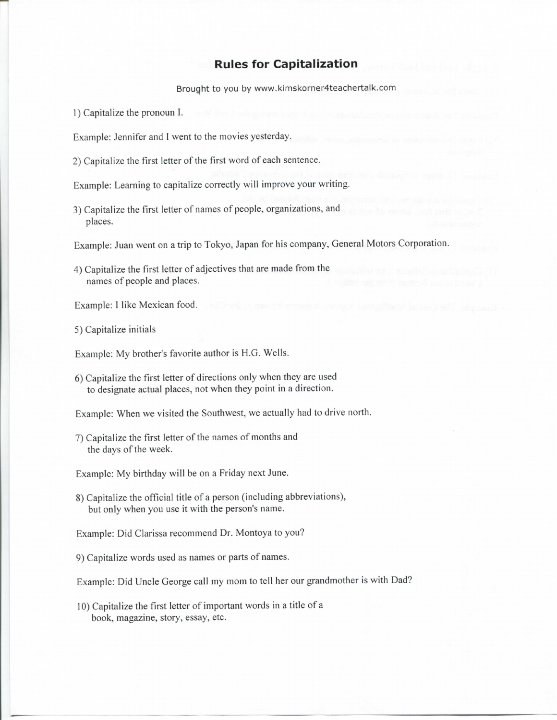## **Rules for Capitalization**

Brought to you by www.kimskorner4teachertalk.com

1) Capitalize the pronoun I.

Example: Jennifer and I went to the movies yesterday.

2) Capitalize the first letter of the first word of each sentence.

Example: Learning to capitalize correctly will improve your writing.

3) Capitalize the first letter of names of people, organizations, and places.

Example: Juan went on a trip to Tokyo, Japan for his company, General Motors Corporation.

4) Capitalize the first letter of adjectives that are made from the names of people and places.

Example: I like Mexican food.

5) Capitalize initials

Example: My brother's favorite author is H.G. Wells.

6) Capitalize the first letter of directions only when they are used to designate actual places, not when they point in a direction.

Example: When we visited the Southwest, we actually had to drive north.

7) Capitalize the first letter of the names of months and the days of the week.

Example: My birthday will be on a Friday next June.

8) Capitalize the official title of a person (including abbreviations), hut only when you use it with the person's name.

Example: Did Clarissa recommend Dr. Montoya to you?

9) Capitalize words used as names or parts of names.

Example: Did Uncle George call my mom to tell her our grandmother is with Dad?

10) Capitalize the first letter of important words in a title of a book, magazine, story, essay, etc.